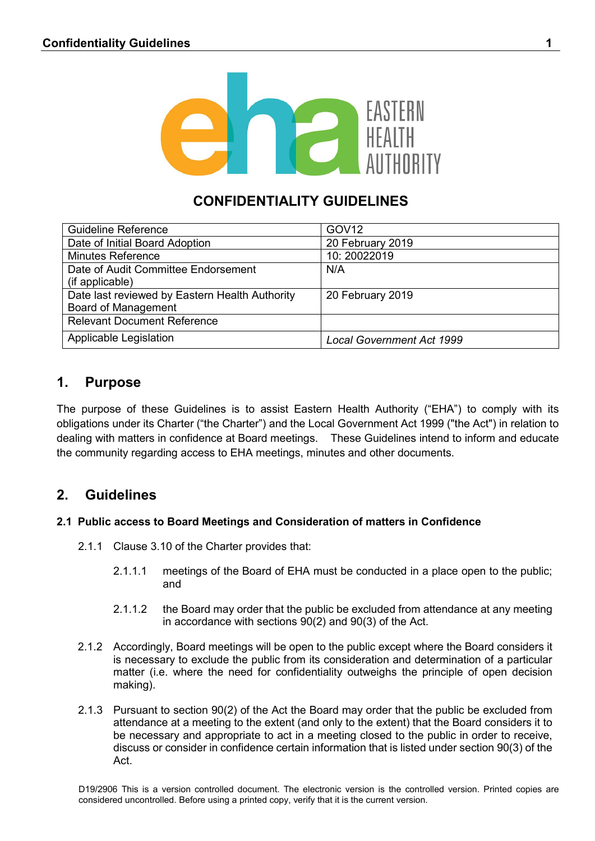

# **CONFIDENTIALITY GUIDELINES**

| <b>Guideline Reference</b>                     | GOV <sub>12</sub>                |
|------------------------------------------------|----------------------------------|
| Date of Initial Board Adoption                 | 20 February 2019                 |
| <b>Minutes Reference</b>                       | 10:20022019                      |
| Date of Audit Committee Endorsement            | N/A                              |
| (if applicable)                                |                                  |
| Date last reviewed by Eastern Health Authority | 20 February 2019                 |
| <b>Board of Management</b>                     |                                  |
| <b>Relevant Document Reference</b>             |                                  |
| Applicable Legislation                         | <b>Local Government Act 1999</b> |

# **1. Purpose**

The purpose of these Guidelines is to assist Eastern Health Authority ("EHA") to comply with its obligations under its Charter ("the Charter") and the Local Government Act 1999 ("the Act") in relation to dealing with matters in confidence at Board meetings. These Guidelines intend to inform and educate the community regarding access to EHA meetings, minutes and other documents.

## **2. Guidelines**

### **2.1 Public access to Board Meetings and Consideration of matters in Confidence**

- 2.1.1 Clause 3.10 of the Charter provides that:
	- 2.1.1.1 meetings of the Board of EHA must be conducted in a place open to the public; and
	- 2.1.1.2 the Board may order that the public be excluded from attendance at any meeting in accordance with sections 90(2) and 90(3) of the Act.
- 2.1.2 Accordingly, Board meetings will be open to the public except where the Board considers it is necessary to exclude the public from its consideration and determination of a particular matter (i.e. where the need for confidentiality outweighs the principle of open decision making).
- 2.1.3 Pursuant to section 90(2) of the Act the Board may order that the public be excluded from attendance at a meeting to the extent (and only to the extent) that the Board considers it to be necessary and appropriate to act in a meeting closed to the public in order to receive, discuss or consider in confidence certain information that is listed under section 90(3) of the Act.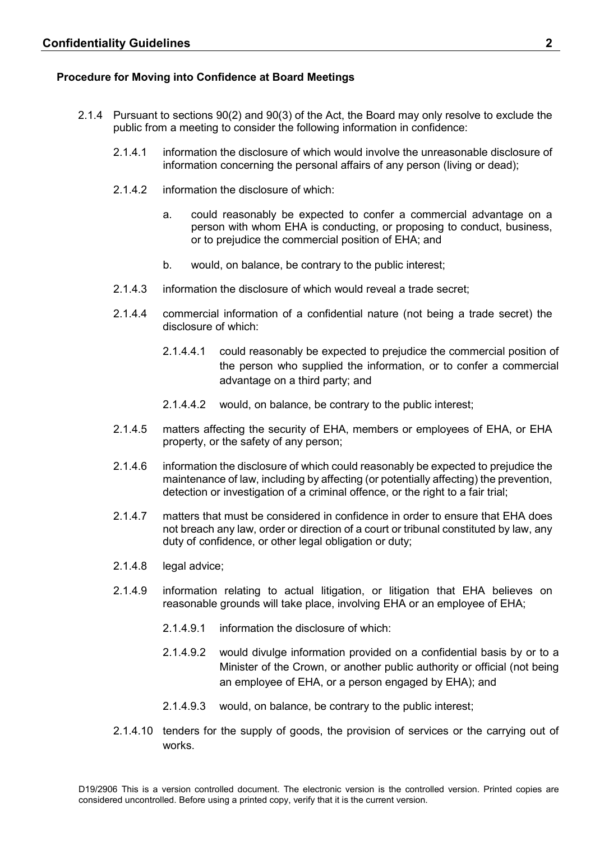#### **Procedure for Moving into Confidence at Board Meetings**

- 2.1.4 Pursuant to sections 90(2) and 90(3) of the Act, the Board may only resolve to exclude the public from a meeting to consider the following information in confidence:
	- 2.1.4.1 information the disclosure of which would involve the unreasonable disclosure of information concerning the personal affairs of any person (living or dead);
	- 2.1.4.2 information the disclosure of which:
		- a. could reasonably be expected to confer a commercial advantage on a person with whom EHA is conducting, or proposing to conduct, business, or to prejudice the commercial position of EHA; and
		- b. would, on balance, be contrary to the public interest;
	- 2.1.4.3 information the disclosure of which would reveal a trade secret;
	- 2.1.4.4 commercial information of a confidential nature (not being a trade secret) the disclosure of which:
		- 2.1.4.4.1 could reasonably be expected to prejudice the commercial position of the person who supplied the information, or to confer a commercial advantage on a third party; and
		- 2.1.4.4.2 would, on balance, be contrary to the public interest;
	- 2.1.4.5 matters affecting the security of EHA, members or employees of EHA, or EHA property, or the safety of any person;
	- 2.1.4.6 information the disclosure of which could reasonably be expected to prejudice the maintenance of law, including by affecting (or potentially affecting) the prevention, detection or investigation of a criminal offence, or the right to a fair trial;
	- 2.1.4.7 matters that must be considered in confidence in order to ensure that EHA does not breach any law, order or direction of a court or tribunal constituted by law, any duty of confidence, or other legal obligation or duty;
	- 2.1.4.8 legal advice;
	- 2.1.4.9 information relating to actual litigation, or litigation that EHA believes on reasonable grounds will take place, involving EHA or an employee of EHA;
		- 2.1.4.9.1 information the disclosure of which:
		- 2.1.4.9.2 would divulge information provided on a confidential basis by or to a Minister of the Crown, or another public authority or official (not being an employee of EHA, or a person engaged by EHA); and
		- 2.1.4.9.3 would, on balance, be contrary to the public interest;
	- 2.1.4.10 tenders for the supply of goods, the provision of services or the carrying out of works.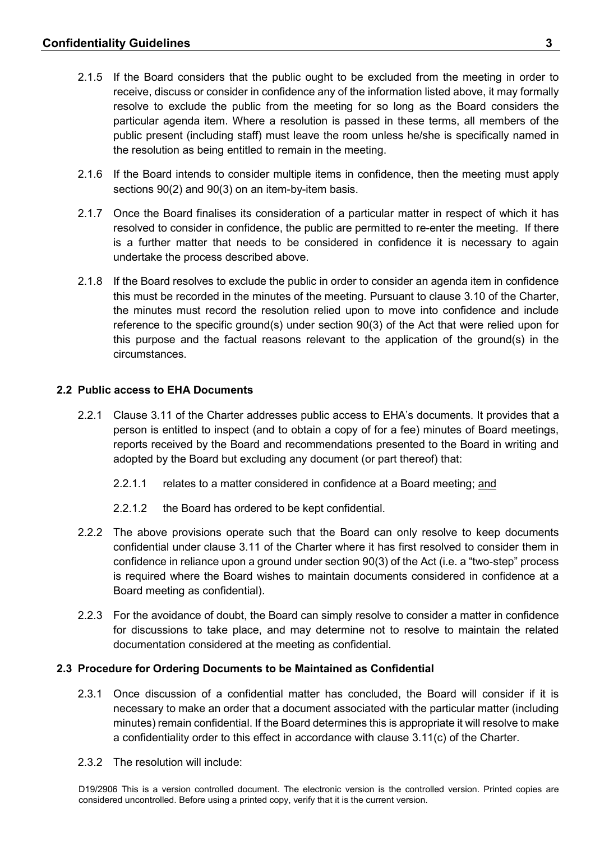- 2.1.5 If the Board considers that the public ought to be excluded from the meeting in order to receive, discuss or consider in confidence any of the information listed above, it may formally resolve to exclude the public from the meeting for so long as the Board considers the particular agenda item. Where a resolution is passed in these terms, all members of the public present (including staff) must leave the room unless he/she is specifically named in the resolution as being entitled to remain in the meeting.
- 2.1.6 If the Board intends to consider multiple items in confidence, then the meeting must apply sections 90(2) and 90(3) on an item-by-item basis.
- 2.1.7 Once the Board finalises its consideration of a particular matter in respect of which it has resolved to consider in confidence, the public are permitted to re-enter the meeting. If there is a further matter that needs to be considered in confidence it is necessary to again undertake the process described above.
- 2.1.8 If the Board resolves to exclude the public in order to consider an agenda item in confidence this must be recorded in the minutes of the meeting. Pursuant to clause 3.10 of the Charter, the minutes must record the resolution relied upon to move into confidence and include reference to the specific ground(s) under section 90(3) of the Act that were relied upon for this purpose and the factual reasons relevant to the application of the ground(s) in the circumstances.

#### **2.2 Public access to EHA Documents**

- 2.2.1 Clause 3.11 of the Charter addresses public access to EHA's documents. It provides that a person is entitled to inspect (and to obtain a copy of for a fee) minutes of Board meetings, reports received by the Board and recommendations presented to the Board in writing and adopted by the Board but excluding any document (or part thereof) that:
	- 2.2.1.1 relates to a matter considered in confidence at a Board meeting; and
	- 2.2.1.2 the Board has ordered to be kept confidential.
- 2.2.2 The above provisions operate such that the Board can only resolve to keep documents confidential under clause 3.11 of the Charter where it has first resolved to consider them in confidence in reliance upon a ground under section 90(3) of the Act (i.e. a "two-step" process is required where the Board wishes to maintain documents considered in confidence at a Board meeting as confidential).
- 2.2.3 For the avoidance of doubt, the Board can simply resolve to consider a matter in confidence for discussions to take place, and may determine not to resolve to maintain the related documentation considered at the meeting as confidential.

#### **2.3 Procedure for Ordering Documents to be Maintained as Confidential**

- 2.3.1 Once discussion of a confidential matter has concluded, the Board will consider if it is necessary to make an order that a document associated with the particular matter (including minutes) remain confidential. If the Board determines this is appropriate it will resolve to make a confidentiality order to this effect in accordance with clause 3.11(c) of the Charter.
- 2.3.2 The resolution will include: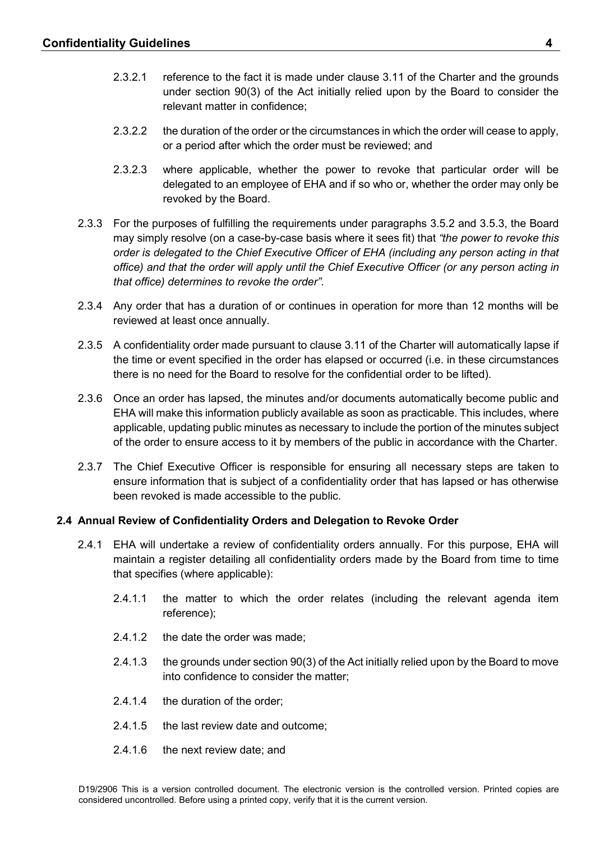- 2.3.2.1 reference to the fact it is made under clause 3.11 of the Charter and the grounds under section 90(3) of the Act initially relied upon by the Board to consider the relevant matter in confidence;
- 2.3.2.2 the duration of the order or the circumstances in which the order will cease to apply, or a period after which the order must be reviewed; and
- 2.3.2.3 where applicable, whether the power to revoke that particular order will be delegated to an employee of EHA and if so who or, whether the order may only be revoked by the Board.
- 2.3.3 For the purposes of fulfilling the requirements under paragraphs 3.5.2 and 3.5.3, the Board may simply resolve (on a case-by-case basis where it sees fit) that *"the power to revoke this order is delegated to the Chief Executive Officer of EHA (including any person acting in that office) and that the order will apply until the Chief Executive Officer (or any person acting in that office) determines to revoke the order"*.
- 2.3.4 Any order that has a duration of or continues in operation for more than 12 months will be reviewed at least once annually.
- 2.3.5 A confidentiality order made pursuant to clause 3.11 of the Charter will automatically lapse if the time or event specified in the order has elapsed or occurred (i.e. in these circumstances there is no need for the Board to resolve for the confidential order to be lifted).
- 2.3.6 Once an order has lapsed, the minutes and/or documents automatically become public and EHA will make this information publicly available as soon as practicable. This includes, where applicable, updating public minutes as necessary to include the portion of the minutes subject of the order to ensure access to it by members of the public in accordance with the Charter.
- 2.3.7 The Chief Executive Officer is responsible for ensuring all necessary steps are taken to ensure information that is subject of a confidentiality order that has lapsed or has otherwise been revoked is made accessible to the public.

#### **2.4 Annual Review of Confidentiality Orders and Delegation to Revoke Order**

- 2.4.1 EHA will undertake a review of confidentiality orders annually. For this purpose, EHA will maintain a register detailing all confidentiality orders made by the Board from time to time that specifies (where applicable):
	- 2.4.1.1 the matter to which the order relates (including the relevant agenda item reference);
	- 2.4.1.2 the date the order was made;
	- 2.4.1.3 the grounds under section 90(3) of the Act initially relied upon by the Board to move into confidence to consider the matter;
	- 2.4.1.4 the duration of the order;
	- 2.4.1.5 the last review date and outcome;
	- 2.4.1.6 the next review date; and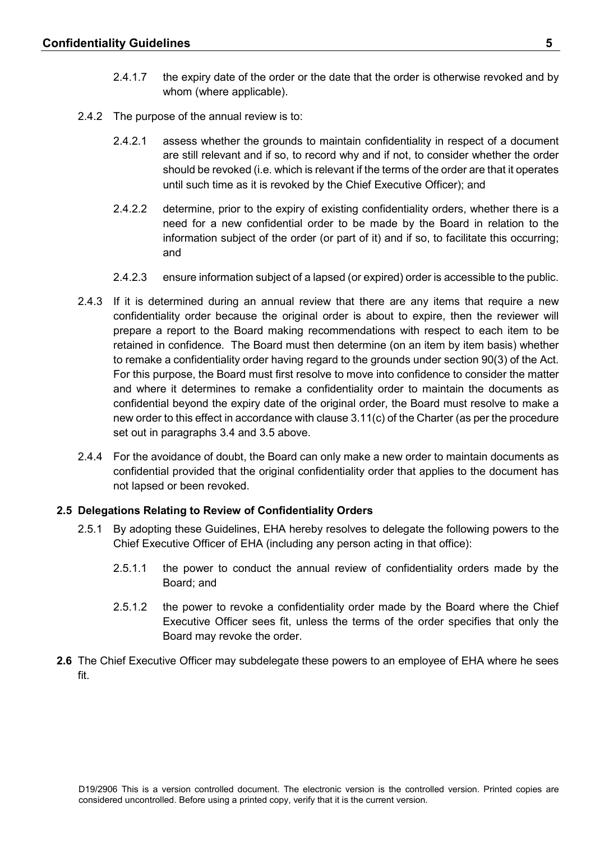- 2.4.1.7 the expiry date of the order or the date that the order is otherwise revoked and by whom (where applicable).
- 2.4.2 The purpose of the annual review is to:
	- 2.4.2.1 assess whether the grounds to maintain confidentiality in respect of a document are still relevant and if so, to record why and if not, to consider whether the order should be revoked (i.e. which is relevant if the terms of the order are that it operates until such time as it is revoked by the Chief Executive Officer); and
	- 2.4.2.2 determine, prior to the expiry of existing confidentiality orders, whether there is a need for a new confidential order to be made by the Board in relation to the information subject of the order (or part of it) and if so, to facilitate this occurring; and
	- 2.4.2.3 ensure information subject of a lapsed (or expired) order is accessible to the public.
- 2.4.3 If it is determined during an annual review that there are any items that require a new confidentiality order because the original order is about to expire, then the reviewer will prepare a report to the Board making recommendations with respect to each item to be retained in confidence. The Board must then determine (on an item by item basis) whether to remake a confidentiality order having regard to the grounds under section 90(3) of the Act. For this purpose, the Board must first resolve to move into confidence to consider the matter and where it determines to remake a confidentiality order to maintain the documents as confidential beyond the expiry date of the original order, the Board must resolve to make a new order to this effect in accordance with clause 3.11(c) of the Charter (as per the procedure set out in paragraphs 3.4 and 3.5 above.
- 2.4.4 For the avoidance of doubt, the Board can only make a new order to maintain documents as confidential provided that the original confidentiality order that applies to the document has not lapsed or been revoked.

#### **2.5 Delegations Relating to Review of Confidentiality Orders**

- 2.5.1 By adopting these Guidelines, EHA hereby resolves to delegate the following powers to the Chief Executive Officer of EHA (including any person acting in that office):
	- 2.5.1.1 the power to conduct the annual review of confidentiality orders made by the Board; and
	- 2.5.1.2 the power to revoke a confidentiality order made by the Board where the Chief Executive Officer sees fit, unless the terms of the order specifies that only the Board may revoke the order.
- **2.6** The Chief Executive Officer may subdelegate these powers to an employee of EHA where he sees fit.